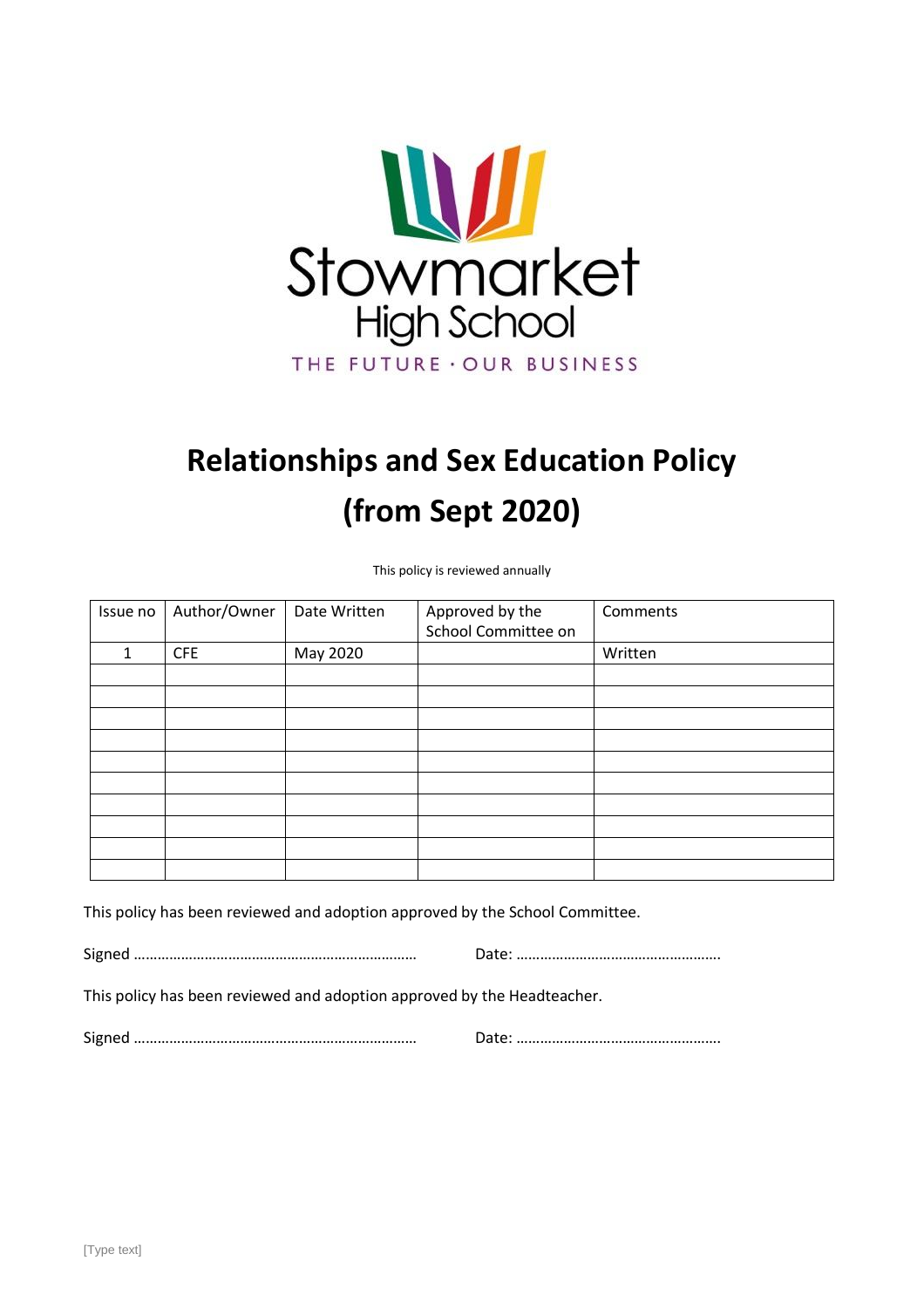

# **Relationships and Sex Education Policy (from Sept 2020)**

This policy is reviewed annually

| Issue no | Author/Owner | Date Written | Approved by the<br>School Committee on | Comments |
|----------|--------------|--------------|----------------------------------------|----------|
| 1        | <b>CFE</b>   | May 2020     |                                        | Written  |
|          |              |              |                                        |          |
|          |              |              |                                        |          |
|          |              |              |                                        |          |
|          |              |              |                                        |          |
|          |              |              |                                        |          |
|          |              |              |                                        |          |
|          |              |              |                                        |          |
|          |              |              |                                        |          |
|          |              |              |                                        |          |
|          |              |              |                                        |          |

This policy has been reviewed and adoption approved by the School Committee.

Signed ……………………………………………………………… Date: …………………………………………….

This policy has been reviewed and adoption approved by the Headteacher.

Signed ……………………………………………………………… Date: …………………………………………….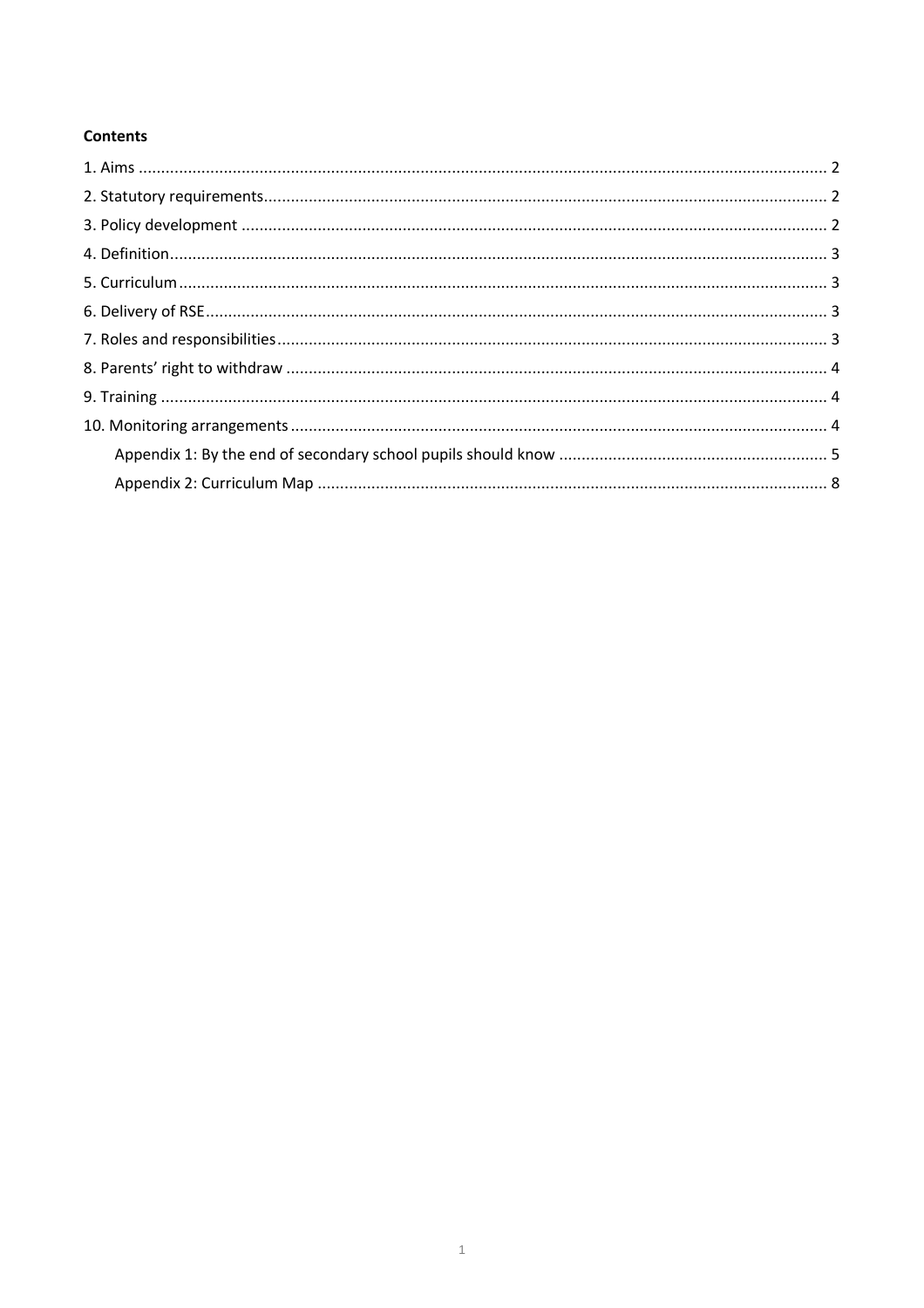# **Contents**

<span id="page-1-0"></span>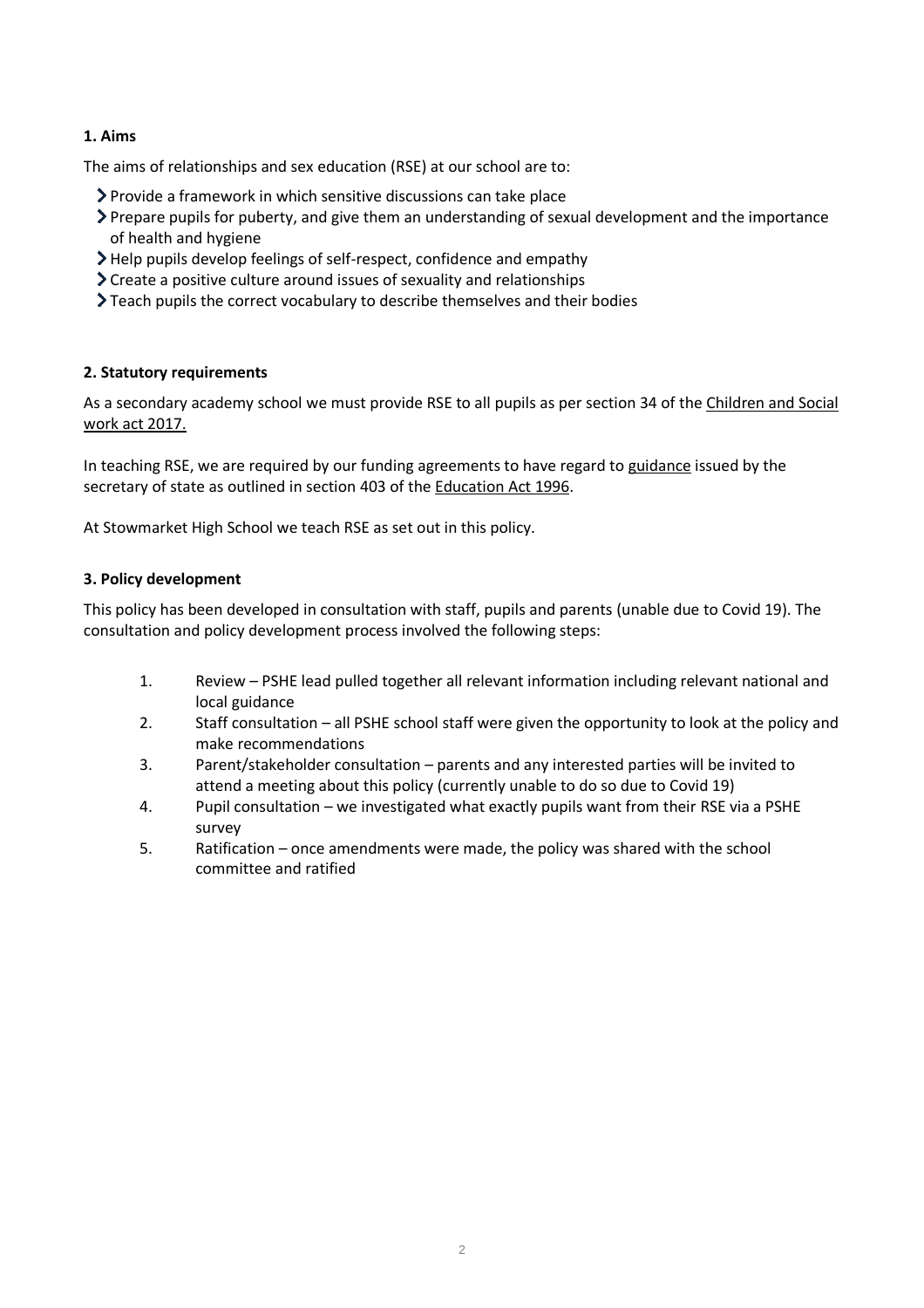# **1. Aims**

The aims of relationships and sex education (RSE) at our school are to:

- Provide a framework in which sensitive discussions can take place
- Prepare pupils for puberty, and give them an understanding of sexual development and the importance of health and hygiene
- Help pupils develop feelings of self-respect, confidence and empathy
- Create a positive culture around issues of sexuality and relationships
- Teach pupils the correct vocabulary to describe themselves and their bodies

# <span id="page-2-0"></span>**2. Statutory requirements**

As a secondary academy school we must provide RSE to all pupils as per section 34 of th[e Children and Social](http://www.legislation.gov.uk/ukpga/2017/16/section/34/enacted)  [work act 2017.](http://www.legislation.gov.uk/ukpga/2017/16/section/34/enacted)

In teaching RSE, we are required by our funding agreements to have regard t[o guidance](https://www.gov.uk/government/consultations/relationships-and-sex-education-and-health-education) issued by the secretary of state as outlined in section 403 of the [Education Act 1996.](http://www.legislation.gov.uk/ukpga/1996/56/contents)

At Stowmarket High School we teach RSE as set out in this policy.

# <span id="page-2-1"></span>**3. Policy development**

This policy has been developed in consultation with staff, pupils and parents (unable due to Covid 19). The consultation and policy development process involved the following steps:

- 1. Review PSHE lead pulled together all relevant information including relevant national and local guidance
- 2. Staff consultation all PSHE school staff were given the opportunity to look at the policy and make recommendations
- 3. Parent/stakeholder consultation parents and any interested parties will be invited to attend a meeting about this policy (currently unable to do so due to Covid 19)
- 4. Pupil consultation we investigated what exactly pupils want from their RSE via a PSHE survey
- <span id="page-2-2"></span>5. Ratification – once amendments were made, the policy was shared with the school committee and ratified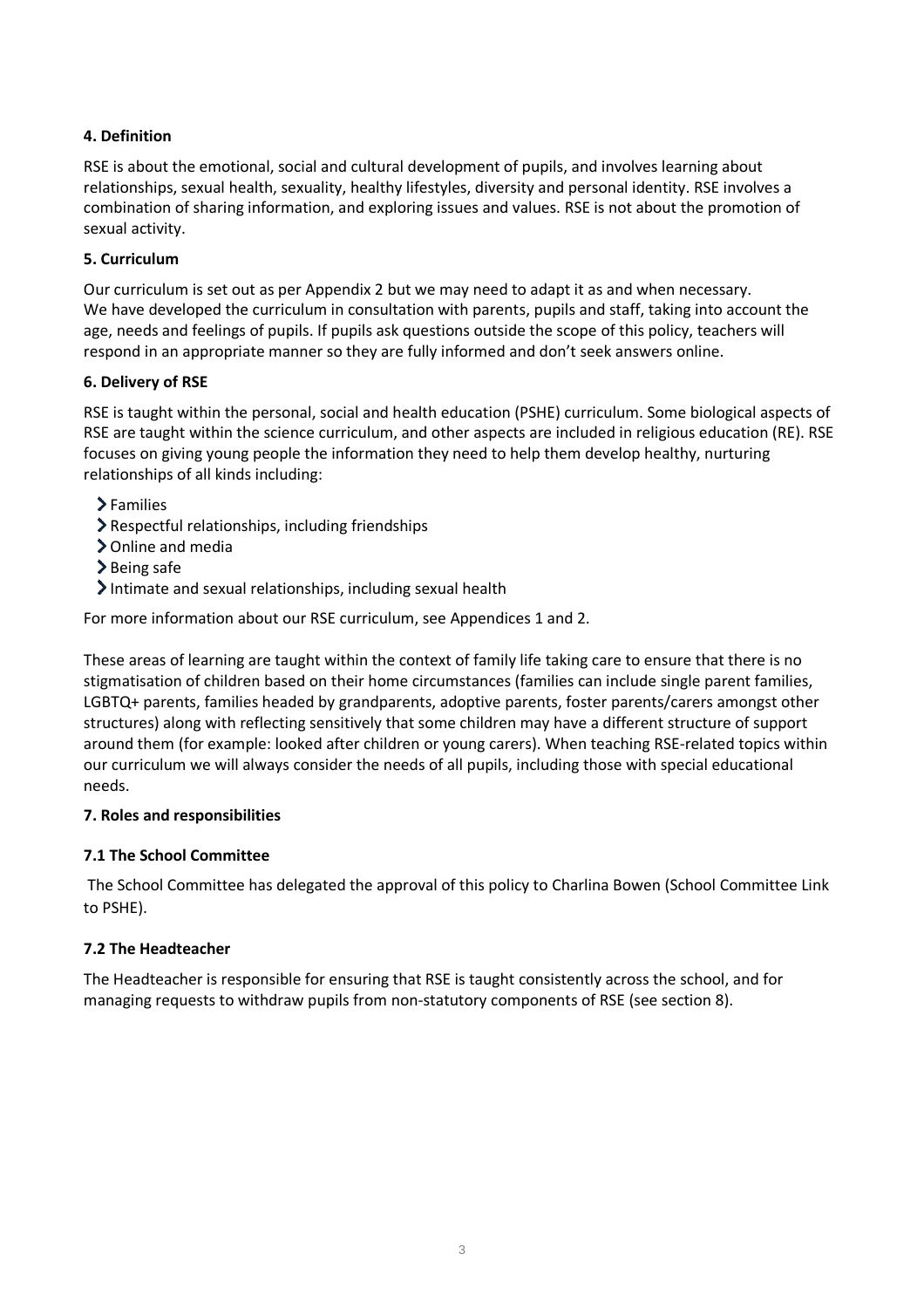# **4. Definition**

RSE is about the emotional, social and cultural development of pupils, and involves learning about relationships, sexual health, sexuality, healthy lifestyles, diversity and personal identity. RSE involves a combination of sharing information, and exploring issues and values. RSE is not about the promotion of sexual activity.

# <span id="page-3-0"></span>**5. Curriculum**

Our curriculum is set out as per Appendix 2 but we may need to adapt it as and when necessary. We have developed the curriculum in consultation with parents, pupils and staff, taking into account the age, needs and feelings of pupils. If pupils ask questions outside the scope of this policy, teachers will respond in an appropriate manner so they are fully informed and don't seek answers online.

#### <span id="page-3-1"></span>**6. Delivery of RSE**

RSE is taught within the personal, social and health education (PSHE) curriculum. Some biological aspects of RSE are taught within the science curriculum, and other aspects are included in religious education (RE). RSE focuses on giving young people the information they need to help them develop healthy, nurturing relationships of all kinds including:

- >Families
- Respectful relationships, including friendships
- Online and media
- > Being safe
- $\blacktriangleright$  Intimate and sexual relationships, including sexual health

For more information about our RSE curriculum, see Appendices 1 and 2.

These areas of learning are taught within the context of family life taking care to ensure that there is no stigmatisation of children based on their home circumstances (families can include single parent families, LGBTQ+ parents, families headed by grandparents, adoptive parents, foster parents/carers amongst other structures) along with reflecting sensitively that some children may have a different structure of support around them (for example: looked after children or young carers). When teaching RSE-related topics within our curriculum we will always consider the needs of all pupils, including those with special educational needs.

#### <span id="page-3-2"></span>**7. Roles and responsibilities**

#### **7.1 The School Committee**

The School Committee has delegated the approval of this policy to Charlina Bowen (School Committee Link to PSHE).

#### **7.2 The Headteacher**

The Headteacher is responsible for ensuring that RSE is taught consistently across the school, and for managing requests to withdraw pupils from non-statutory components of RSE (see section 8).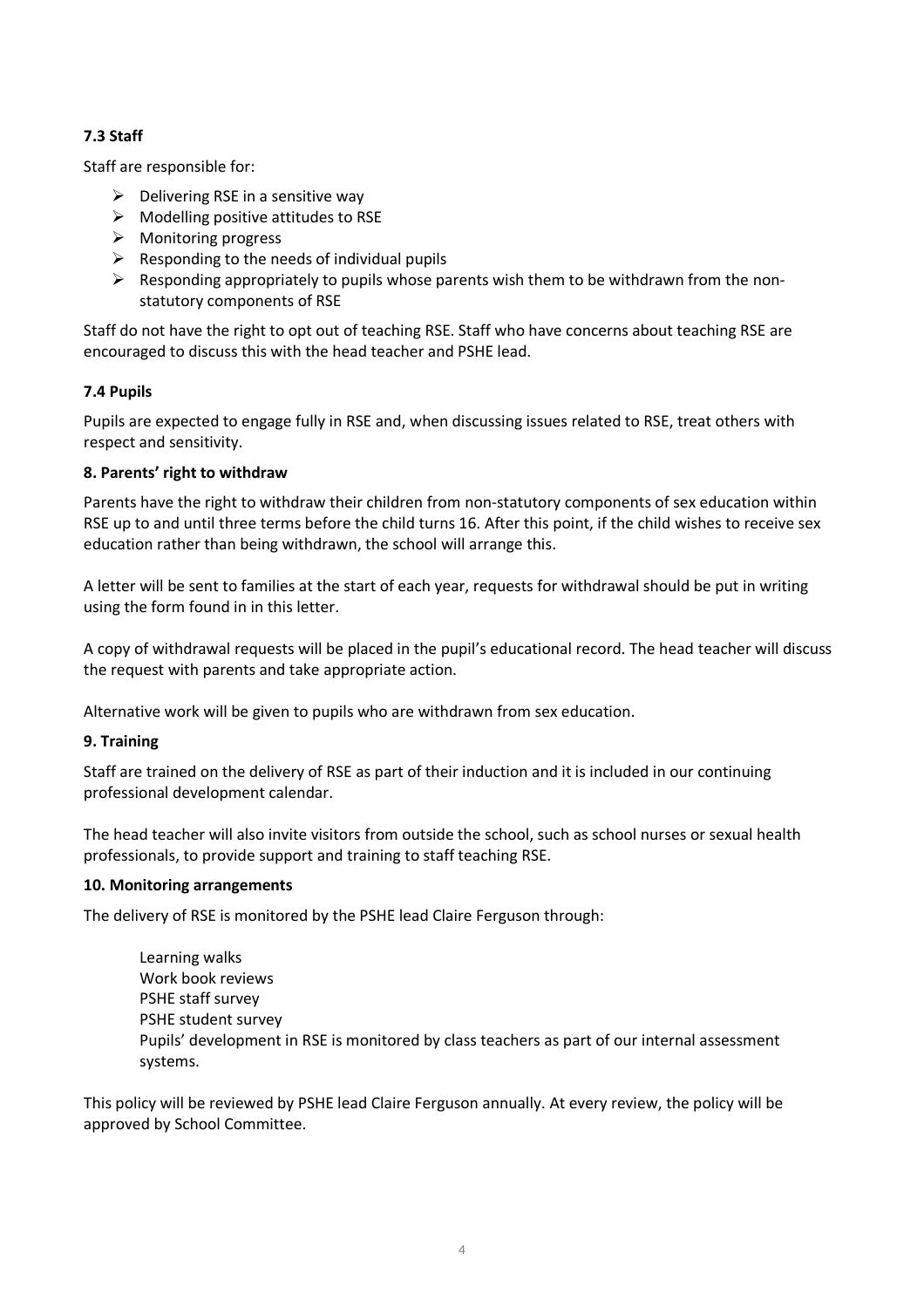# **7.3 Staff**

Staff are responsible for:

- $\triangleright$  Delivering RSE in a sensitive way
- $\triangleright$  Modelling positive attitudes to RSE
- $\triangleright$  Monitoring progress
- $\triangleright$  Responding to the needs of individual pupils
- $\triangleright$  Responding appropriately to pupils whose parents wish them to be withdrawn from the nonstatutory components of RSE

Staff do not have the right to opt out of teaching RSE. Staff who have concerns about teaching RSE are encouraged to discuss this with the head teacher and PSHE lead.

#### **7.4 Pupils**

Pupils are expected to engage fully in RSE and, when discussing issues related to RSE, treat others with respect and sensitivity.

#### <span id="page-4-0"></span>**8. Parents' right to withdraw**

Parents have the right to withdraw their children from non-statutory components of sex education within RSE up to and until three terms before the child turns 16. After this point, if the child wishes to receive sex education rather than being withdrawn, the school will arrange this.

A letter will be sent to families at the start of each year, requests for withdrawal should be put in writing using the form found in in this letter.

A copy of withdrawal requests will be placed in the pupil's educational record. The head teacher will discuss the request with parents and take appropriate action.

Alternative work will be given to pupils who are withdrawn from sex education.

#### <span id="page-4-1"></span>**9. Training**

Staff are trained on the delivery of RSE as part of their induction and it is included in our continuing professional development calendar.

The head teacher will also invite visitors from outside the school, such as school nurses or sexual health professionals, to provide support and training to staff teaching RSE.

#### <span id="page-4-2"></span>**10. Monitoring arrangements**

The delivery of RSE is monitored by the PSHE lead Claire Ferguson through:

Learning walks Work book reviews PSHE staff survey PSHE student survey Pupils' development in RSE is monitored by class teachers as part of our internal assessment systems.

This policy will be reviewed by PSHE lead Claire Ferguson annually. At every review, the policy will be approved by School Committee.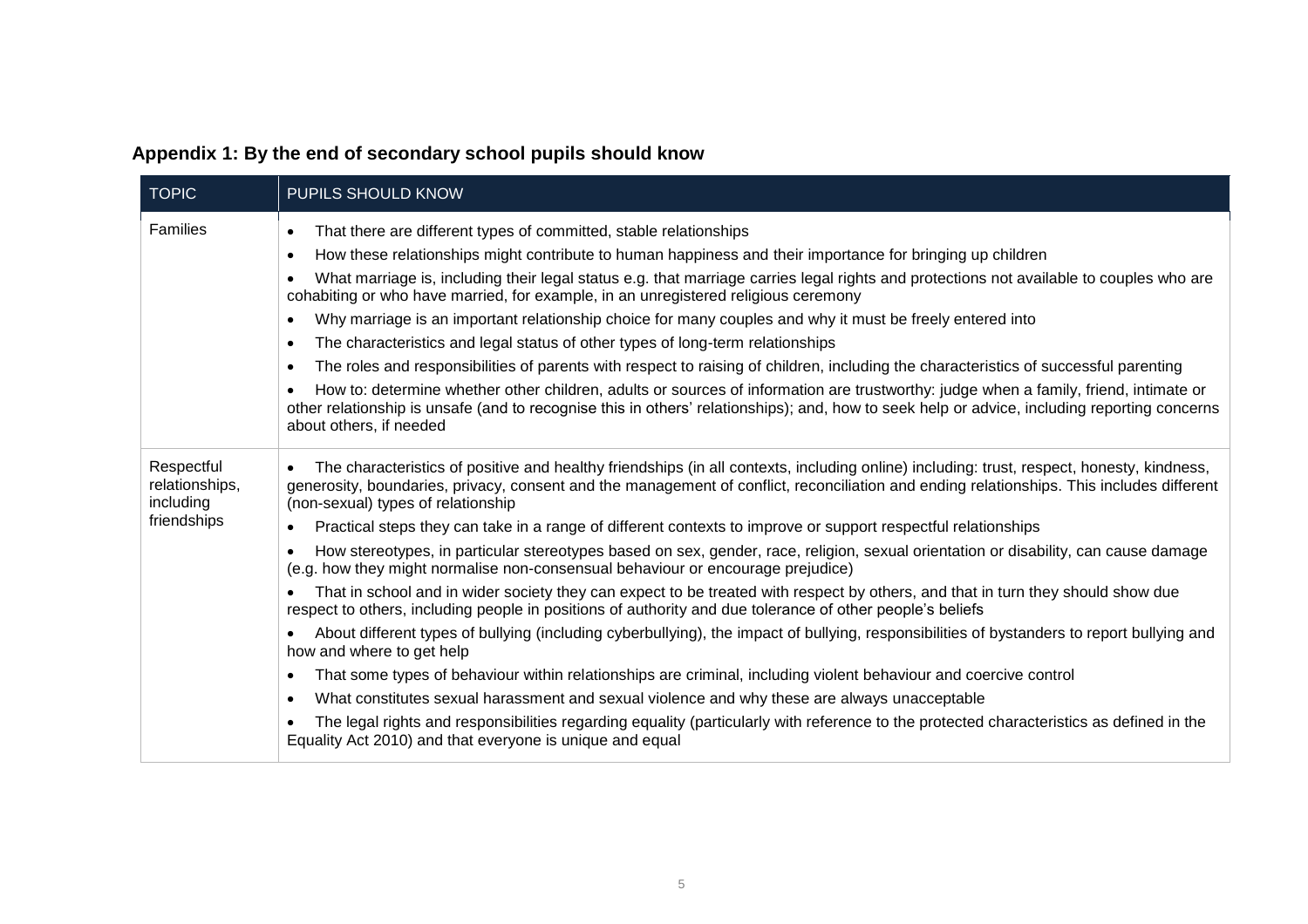|  |  |  | Appendix 1: By the end of secondary school pupils should know |
|--|--|--|---------------------------------------------------------------|
|--|--|--|---------------------------------------------------------------|

<span id="page-5-0"></span>

| <b>TOPIC</b>                              | PUPILS SHOULD KNOW                                                                                                                                                                                                                                                                                                                        |  |  |
|-------------------------------------------|-------------------------------------------------------------------------------------------------------------------------------------------------------------------------------------------------------------------------------------------------------------------------------------------------------------------------------------------|--|--|
| Families                                  | That there are different types of committed, stable relationships<br>$\bullet$                                                                                                                                                                                                                                                            |  |  |
|                                           | How these relationships might contribute to human happiness and their importance for bringing up children<br>$\bullet$                                                                                                                                                                                                                    |  |  |
|                                           | What marriage is, including their legal status e.g. that marriage carries legal rights and protections not available to couples who are<br>$\bullet$<br>cohabiting or who have married, for example, in an unregistered religious ceremony                                                                                                |  |  |
|                                           | Why marriage is an important relationship choice for many couples and why it must be freely entered into<br>$\bullet$                                                                                                                                                                                                                     |  |  |
|                                           | The characteristics and legal status of other types of long-term relationships<br>$\bullet$                                                                                                                                                                                                                                               |  |  |
|                                           | The roles and responsibilities of parents with respect to raising of children, including the characteristics of successful parenting<br>$\bullet$                                                                                                                                                                                         |  |  |
|                                           | How to: determine whether other children, adults or sources of information are trustworthy: judge when a family, friend, intimate or<br>$\bullet$<br>other relationship is unsafe (and to recognise this in others' relationships); and, how to seek help or advice, including reporting concerns<br>about others, if needed              |  |  |
| Respectful<br>relationships,<br>including | The characteristics of positive and healthy friendships (in all contexts, including online) including: trust, respect, honesty, kindness,<br>$\bullet$<br>generosity, boundaries, privacy, consent and the management of conflict, reconciliation and ending relationships. This includes different<br>(non-sexual) types of relationship |  |  |
| friendships                               | Practical steps they can take in a range of different contexts to improve or support respectful relationships<br>$\bullet$                                                                                                                                                                                                                |  |  |
|                                           | How stereotypes, in particular stereotypes based on sex, gender, race, religion, sexual orientation or disability, can cause damage<br>$\bullet$<br>(e.g. how they might normalise non-consensual behaviour or encourage prejudice)                                                                                                       |  |  |
|                                           | That in school and in wider society they can expect to be treated with respect by others, and that in turn they should show due<br>$\bullet$<br>respect to others, including people in positions of authority and due tolerance of other people's beliefs                                                                                 |  |  |
|                                           | About different types of bullying (including cyberbullying), the impact of bullying, responsibilities of bystanders to report bullying and<br>$\bullet$<br>how and where to get help                                                                                                                                                      |  |  |
|                                           | That some types of behaviour within relationships are criminal, including violent behaviour and coercive control<br>$\bullet$                                                                                                                                                                                                             |  |  |
|                                           | What constitutes sexual harassment and sexual violence and why these are always unacceptable<br>$\bullet$                                                                                                                                                                                                                                 |  |  |
|                                           | The legal rights and responsibilities regarding equality (particularly with reference to the protected characteristics as defined in the<br>Equality Act 2010) and that everyone is unique and equal                                                                                                                                      |  |  |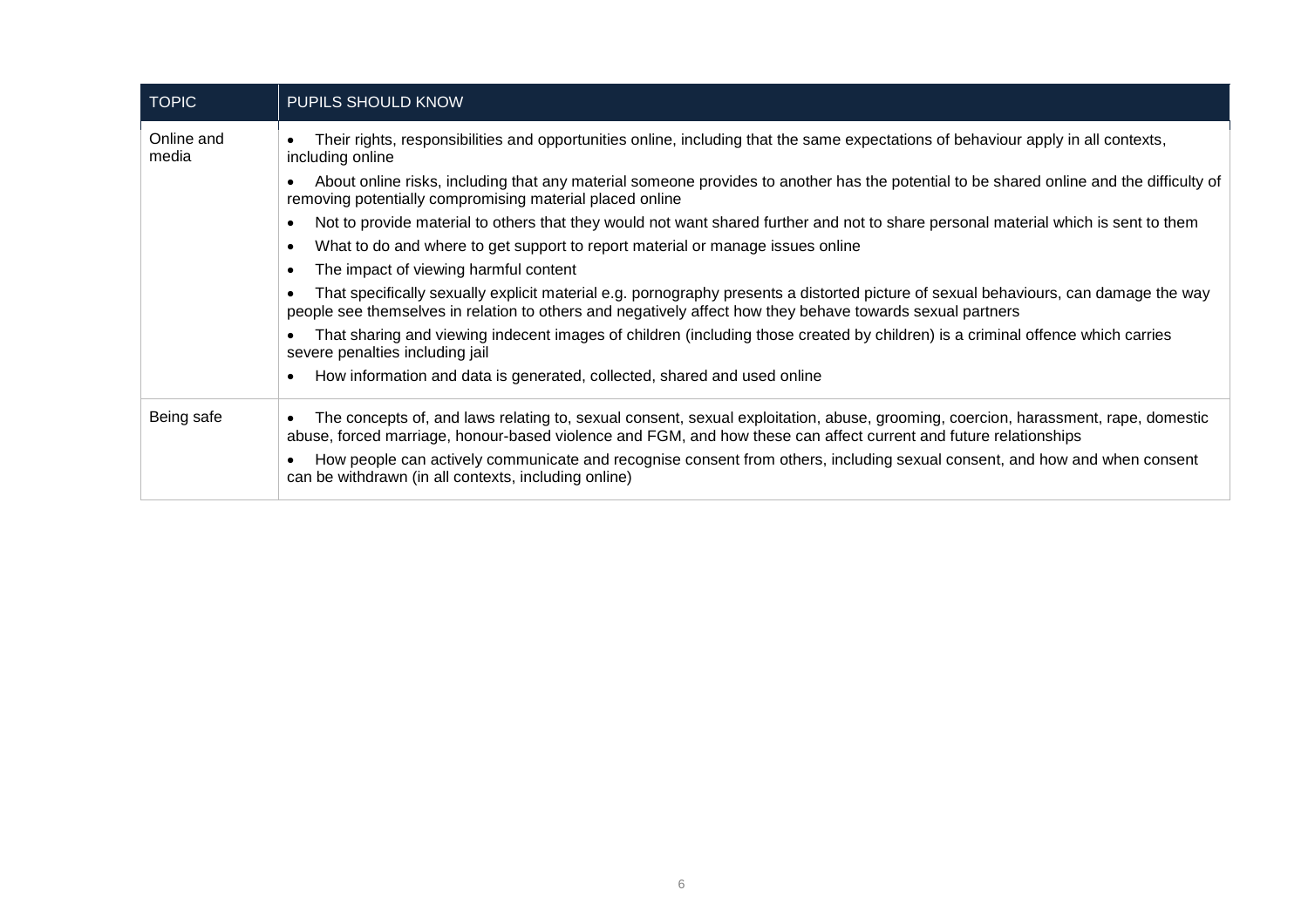| <b>TOPIC</b>        | PUPILS SHOULD KNOW                                                                                                                                                                                                                                    |
|---------------------|-------------------------------------------------------------------------------------------------------------------------------------------------------------------------------------------------------------------------------------------------------|
| Online and<br>media | Their rights, responsibilities and opportunities online, including that the same expectations of behaviour apply in all contexts,<br>including online                                                                                                 |
|                     | About online risks, including that any material someone provides to another has the potential to be shared online and the difficulty of<br>removing potentially compromising material placed online                                                   |
|                     | Not to provide material to others that they would not want shared further and not to share personal material which is sent to them<br>٠                                                                                                               |
|                     | What to do and where to get support to report material or manage issues online<br>٠                                                                                                                                                                   |
|                     | The impact of viewing harmful content<br>$\bullet$                                                                                                                                                                                                    |
|                     | That specifically sexually explicit material e.g. pornography presents a distorted picture of sexual behaviours, can damage the way<br>people see themselves in relation to others and negatively affect how they behave towards sexual partners      |
|                     | That sharing and viewing indecent images of children (including those created by children) is a criminal offence which carries<br>severe penalties including jail                                                                                     |
|                     | How information and data is generated, collected, shared and used online<br>$\bullet$                                                                                                                                                                 |
| Being safe          | The concepts of, and laws relating to, sexual consent, sexual exploitation, abuse, grooming, coercion, harassment, rape, domestic<br>abuse, forced marriage, honour-based violence and FGM, and how these can affect current and future relationships |
|                     | How people can actively communicate and recognise consent from others, including sexual consent, and how and when consent<br>can be withdrawn (in all contexts, including online)                                                                     |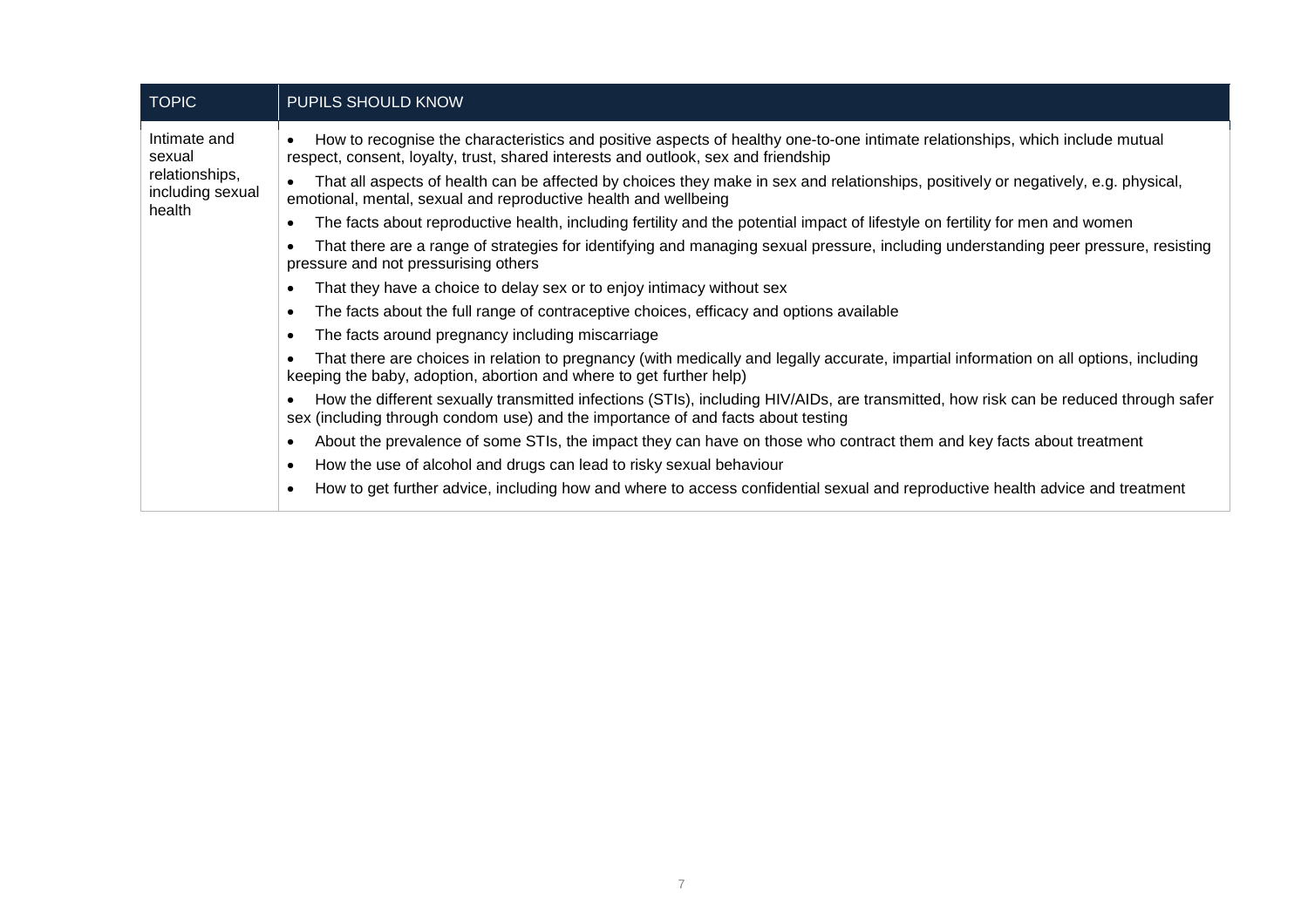| <b>TOPIC</b>                                                           | PUPILS SHOULD KNOW                                                                                                                                                                                                       |
|------------------------------------------------------------------------|--------------------------------------------------------------------------------------------------------------------------------------------------------------------------------------------------------------------------|
| Intimate and<br>sexual<br>relationships,<br>including sexual<br>health | How to recognise the characteristics and positive aspects of healthy one-to-one intimate relationships, which include mutual<br>respect, consent, loyalty, trust, shared interests and outlook, sex and friendship       |
|                                                                        | That all aspects of health can be affected by choices they make in sex and relationships, positively or negatively, e.g. physical,<br>$\bullet$<br>emotional, mental, sexual and reproductive health and wellbeing       |
|                                                                        | The facts about reproductive health, including fertility and the potential impact of lifestyle on fertility for men and women                                                                                            |
|                                                                        | That there are a range of strategies for identifying and managing sexual pressure, including understanding peer pressure, resisting<br>pressure and not pressurising others                                              |
|                                                                        | That they have a choice to delay sex or to enjoy intimacy without sex                                                                                                                                                    |
|                                                                        | The facts about the full range of contraceptive choices, efficacy and options available<br>٠                                                                                                                             |
|                                                                        | The facts around pregnancy including miscarriage                                                                                                                                                                         |
|                                                                        | That there are choices in relation to pregnancy (with medically and legally accurate, impartial information on all options, including<br>keeping the baby, adoption, abortion and where to get further help)             |
|                                                                        | How the different sexually transmitted infections (STIs), including HIV/AIDs, are transmitted, how risk can be reduced through safer<br>sex (including through condom use) and the importance of and facts about testing |
|                                                                        | About the prevalence of some STIs, the impact they can have on those who contract them and key facts about treatment                                                                                                     |
|                                                                        | How the use of alcohol and drugs can lead to risky sexual behaviour                                                                                                                                                      |
|                                                                        | How to get further advice, including how and where to access confidential sexual and reproductive health advice and treatment                                                                                            |